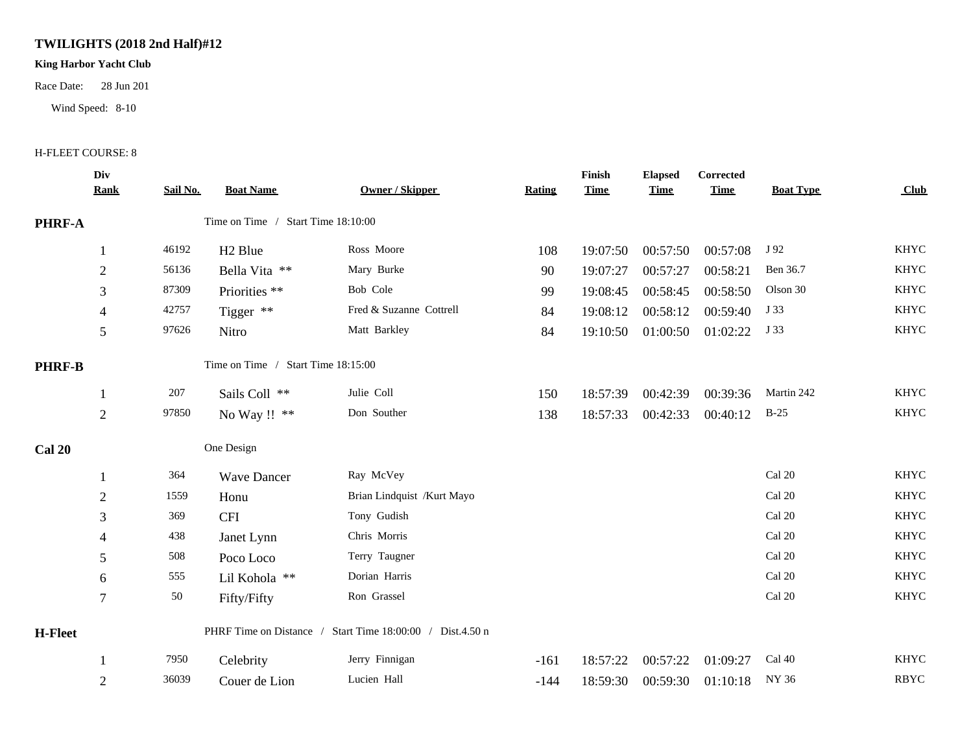## **TWILIGHTS (2018 2nd Half)#12**

## **King Harbor Yacht Club**

Race Date: 28 Jun 201

Wind Speed: 8-10

## H-FLEET COURSE: 8

|                | Div            |          |                                    |                                                           |        | Finish      | <b>Elapsed</b> | Corrected   |                  |             |
|----------------|----------------|----------|------------------------------------|-----------------------------------------------------------|--------|-------------|----------------|-------------|------------------|-------------|
|                | <b>Rank</b>    | Sail No. | <b>Boat Name</b>                   | <b>Owner / Skipper</b>                                    | Rating | <b>Time</b> | <b>Time</b>    | <b>Time</b> | <b>Boat Type</b> | Club        |
| PHRF-A         |                |          | Time on Time / Start Time 18:10:00 |                                                           |        |             |                |             |                  |             |
|                |                | 46192    | H <sub>2</sub> Blue                | Ross Moore                                                | 108    | 19:07:50    | 00:57:50       | 00:57:08    | J 92             | <b>KHYC</b> |
|                | $\overline{2}$ | 56136    | Bella Vita **                      | Mary Burke                                                | 90     | 19:07:27    | 00:57:27       | 00:58:21    | Ben 36.7         | <b>KHYC</b> |
|                | 3              | 87309    | Priorities **                      | Bob Cole                                                  | 99     | 19:08:45    | 00:58:45       | 00:58:50    | Olson 30         | <b>KHYC</b> |
|                | 4              | 42757    | Tigger **                          | Fred & Suzanne Cottrell                                   | 84     | 19:08:12    | 00:58:12       | 00:59:40    | J 33             | <b>KHYC</b> |
|                | 5              | 97626    | Nitro                              | Matt Barkley                                              | 84     | 19:10:50    | 01:00:50       | 01:02:22    | J 33             | <b>KHYC</b> |
| <b>PHRF-B</b>  |                |          | Time on Time / Start Time 18:15:00 |                                                           |        |             |                |             |                  |             |
|                |                | 207      | Sails Coll **                      | Julie Coll                                                | 150    | 18:57:39    | 00:42:39       | 00:39:36    | Martin 242       | <b>KHYC</b> |
|                | $\sqrt{2}$     | 97850    | No Way !! **                       | Don Souther                                               | 138    | 18:57:33    | 00:42:33       | 00:40:12    | $B-25$           | <b>KHYC</b> |
| <b>Cal 20</b>  |                |          | One Design                         |                                                           |        |             |                |             |                  |             |
|                |                | 364      | <b>Wave Dancer</b>                 | Ray McVey                                                 |        |             |                |             | Cal 20           | <b>KHYC</b> |
|                | $\overline{2}$ | 1559     | Honu                               | Brian Lindquist /Kurt Mayo                                |        |             |                |             | Cal 20           | <b>KHYC</b> |
|                | 3              | 369      | <b>CFI</b>                         | Tony Gudish                                               |        |             |                |             | Cal 20           | <b>KHYC</b> |
|                | 4              | 438      | Janet Lynn                         | Chris Morris                                              |        |             |                |             | Cal 20           | <b>KHYC</b> |
|                | 5              | 508      | Poco Loco                          | Terry Taugner                                             |        |             |                |             | Cal 20           | <b>KHYC</b> |
|                | 6              | 555      | Lil Kohola **                      | Dorian Harris                                             |        |             |                |             | Cal 20           | <b>KHYC</b> |
|                | $\tau$         | 50       | Fifty/Fifty                        | Ron Grassel                                               |        |             |                |             | Cal 20           | <b>KHYC</b> |
| <b>H-Fleet</b> |                |          |                                    | PHRF Time on Distance / Start Time 18:00:00 / Dist.4.50 n |        |             |                |             |                  |             |
|                |                | 7950     | Celebrity                          | Jerry Finnigan                                            | $-161$ | 18:57:22    | 00:57:22       | 01:09:27    | Cal 40           | <b>KHYC</b> |
|                | $\mathfrak{2}$ | 36039    | Couer de Lion                      | Lucien Hall                                               | $-144$ | 18:59:30    | 00:59:30       | 01:10:18    | NY 36            | <b>RBYC</b> |